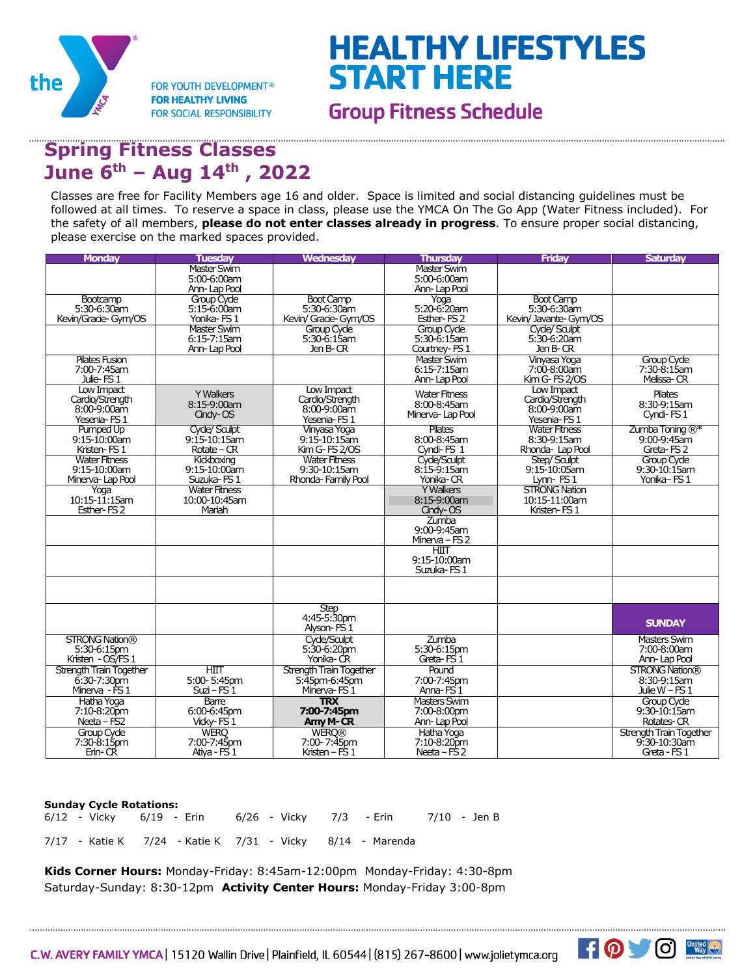

**FOR YOUTH DEVELOPMENT® FOR HEALTHY LIVING FOR SOCIAL RESPONSIBILITY** 

## **HEALTHY LIFESTYLES START HERE**

**Group Fitness Schedule** 

## **Spring Fitness Classes June 6th – Aug 14th , 2022**

Classes are free for Facility Members age 16 and older. Space is limited and social distancing guidelines must be followed at all times. To reserve a space in class, please use the YMCA On The Go App (Water Fitness included). For the safety of all members, **please do not enter classes already in progress**. To ensure proper social distancing, please exercise on the marked spaces provided.

| <b>Master Swim</b><br><b>Master Swim</b><br>5:00-6:00am<br>5:00-6:00am<br>Ann-Lap Pool<br>Ann-Lap Pool<br>Group Cyde<br><b>Boot Camp</b><br><b>Boot Camp</b><br>Bootcamp<br>Yoga<br>5:30-6:30am<br>5:20-6:20am<br>5:30-6:30am<br>$5:15-6:00$ am<br>5:30-6:30am<br>Kevin/Gracie-Gym/OS<br>Yonika-FS1<br>Kevin/ Grade- Gym/OS<br>Esther-FS <sub>2</sub><br>Kevin/ Javante- Gym/OS<br><b>Master Swim</b><br>Cyde/ Saulpt<br>Group Cyde<br>Group Cyde<br>5:30-6:15am<br>$6:15-7:15$ am<br>$5:30-6:15$ am<br>5:30-6:20am<br>Jen B-CR<br>Jen B-CR<br>Ann-Lap Pool<br>Courtney-FS1<br><b>Pilates Fusion</b><br><b>Vinvasa Yoga</b><br><b>Master Swim</b><br>Group Cyde<br>7:00-7:45am<br>6:15-7:15am<br>7:00-8:00am<br>7:30-8:15am<br>Melissa-CR<br>Kim G-FS 2/0S<br>Julie-FS <sub>1</sub><br>Ann-Lap Pool<br>Low Impact<br>Low Impact<br>Low Impact<br><b>Y Walkers</b><br><b>Water Fitness</b><br><b>Pilates</b><br>Cardio/Strength<br>Cardio/Strength<br>Cardio/Strength<br>$8:15-9:00am$<br>8:30-9:15am<br>8:00-8:45am<br>$8:00 - 9:00$ am<br>$8:00-9:00$ am<br>8:00-9:00am<br>Cindy-OS<br>Minerva-Lap Pool<br>Cyndi-FS1<br>Yesenia-FS1<br>Yesenia-FS1<br>Yesenia-FS1<br>Pilates<br><b>Water Fitness</b><br>$Zumba$ Toning $\mathbb{R}^*$<br>Pumped Up<br>Cyde/ Sculpt<br><b>Vinyasa Yoga</b><br>8:30-9:15am<br>9:15-10:00am<br>$9:15-10:15$ am<br>8:00-8:45am<br>$9:00 - 9:45$ am<br>$9:15 - 10:15$ am<br>Kristen-FS1<br>$Rotate - CR$<br>Kim G-FS 2/0S<br>Cyndi-FS 1<br>Rhonda- Lap Pool<br>Greta-FS <sub>2</sub><br><b>Water Fitness</b><br><b>Water Fitness</b><br>Cyde/Saulpt<br><b>Group Cycle</b><br>Kidkboxing<br>Step/Sculpt<br>$8:15-9:15$ am<br>9:15-10:05am<br>$9:30 - 10:15$ am<br>9:15-10:00am<br>$9:15 - 10:00$ am<br>9:30-10:15am<br>Yonika-FS1<br>Suzuka-FS1<br>Rhonda-Family Pool<br>Yonika-CR<br>Lynn-FS1<br>Minerva-Lap Pool<br><b>Water Fitness</b><br><b>Y Walkers</b><br><b>STRONG Nation</b><br>Yoga<br>$10:15-11:15am$<br>10:00-10:45am<br>8:15-9:00am<br>10:15-11:00am<br>Esther-FS <sub>2</sub><br>Mariah<br>Kristen-FS1<br>Cindy-OS<br>Zumba<br>9:00-9:45am<br>Minerva – $FS2$<br>HIII<br>9:15-10:00am<br>Suzuka-FS1<br><b>Step</b><br>4:45-5:30pm<br><b>SUNDAY</b><br>Alyson-FS 1<br><b>STRONG Nation®</b><br>Cyde/Sculpt<br>Zumba<br><b>Masters Swim</b><br>5:30-6:15pm<br>$5:30-6:20$ pm<br>5:30-6:15pm<br>7:00-8:00am<br>Yonika-CR<br>Greta-FS <sub>1</sub><br>Kristen - OS/FS 1<br>Ann-Lap Pool<br>Strength Train Together<br>HIII<br>Strength Train Together<br><b>STRONG Nation®</b><br>Pound<br>5:00-5:45pm<br>$6:30-7:30$ pm<br>5:45pm-6:45pm<br>7:00-7:45pm<br>8:30-9:15am<br>$Suzi-FS1$<br>Anna-FS <sub>1</sub><br>Julie $W$ – FS 1<br>Minerva - FS 1<br>Minerva-FS1<br><b>TRX</b><br><b>Masters Swim</b><br><b>Group Cyde</b><br>Hatha Yoga<br><b>Barre</b><br>7:00-7:45pm<br>7:10-8:20pm<br>6:00-6:45pm<br>7:00-8:00pm<br>$9:30-10:15$ am<br>$Necta-FS2$<br>Vidky-FS <sub>1</sub><br>Amy M-CR<br>Rotates-CR<br>Ann-Lap Pool<br>Group Cyde<br><b>WERO</b><br><b>WERO®</b><br>Hatha Yoga<br><b>Strength Train Together</b><br>7:30-8:15pm<br>7:00-7:45pm<br>7:00-7:45pm<br>9.30-10:30am<br>7:10-8:20pm<br>Erin-CR<br>Ativa - FS 1<br>Kristen – FS $1$<br>Neeta – FS 2<br>Greta - FS 1 | <b>Monday</b> | <b>Tuesday</b> | <b>Wednesday</b> | <b>Thursdav</b> | <b>Fridav</b> | <b>Saturdav</b> |
|---------------------------------------------------------------------------------------------------------------------------------------------------------------------------------------------------------------------------------------------------------------------------------------------------------------------------------------------------------------------------------------------------------------------------------------------------------------------------------------------------------------------------------------------------------------------------------------------------------------------------------------------------------------------------------------------------------------------------------------------------------------------------------------------------------------------------------------------------------------------------------------------------------------------------------------------------------------------------------------------------------------------------------------------------------------------------------------------------------------------------------------------------------------------------------------------------------------------------------------------------------------------------------------------------------------------------------------------------------------------------------------------------------------------------------------------------------------------------------------------------------------------------------------------------------------------------------------------------------------------------------------------------------------------------------------------------------------------------------------------------------------------------------------------------------------------------------------------------------------------------------------------------------------------------------------------------------------------------------------------------------------------------------------------------------------------------------------------------------------------------------------------------------------------------------------------------------------------------------------------------------------------------------------------------------------------------------------------------------------------------------------------------------------------------------------------------------------------------------------------------------------------------------------------------------------------------------------------------------------------------------------------------------------------------------------------------------------------------------------------------------------------------------------------------------------------------------------------------------------------------------------------------------------------------------------------------------------------------------------------------------------------------------------------------------------------------------------------------------------------------------------------------------------------------------------------------------------------------|---------------|----------------|------------------|-----------------|---------------|-----------------|
|                                                                                                                                                                                                                                                                                                                                                                                                                                                                                                                                                                                                                                                                                                                                                                                                                                                                                                                                                                                                                                                                                                                                                                                                                                                                                                                                                                                                                                                                                                                                                                                                                                                                                                                                                                                                                                                                                                                                                                                                                                                                                                                                                                                                                                                                                                                                                                                                                                                                                                                                                                                                                                                                                                                                                                                                                                                                                                                                                                                                                                                                                                                                                                                                                           |               |                |                  |                 |               |                 |
|                                                                                                                                                                                                                                                                                                                                                                                                                                                                                                                                                                                                                                                                                                                                                                                                                                                                                                                                                                                                                                                                                                                                                                                                                                                                                                                                                                                                                                                                                                                                                                                                                                                                                                                                                                                                                                                                                                                                                                                                                                                                                                                                                                                                                                                                                                                                                                                                                                                                                                                                                                                                                                                                                                                                                                                                                                                                                                                                                                                                                                                                                                                                                                                                                           |               |                |                  |                 |               |                 |
|                                                                                                                                                                                                                                                                                                                                                                                                                                                                                                                                                                                                                                                                                                                                                                                                                                                                                                                                                                                                                                                                                                                                                                                                                                                                                                                                                                                                                                                                                                                                                                                                                                                                                                                                                                                                                                                                                                                                                                                                                                                                                                                                                                                                                                                                                                                                                                                                                                                                                                                                                                                                                                                                                                                                                                                                                                                                                                                                                                                                                                                                                                                                                                                                                           |               |                |                  |                 |               |                 |
|                                                                                                                                                                                                                                                                                                                                                                                                                                                                                                                                                                                                                                                                                                                                                                                                                                                                                                                                                                                                                                                                                                                                                                                                                                                                                                                                                                                                                                                                                                                                                                                                                                                                                                                                                                                                                                                                                                                                                                                                                                                                                                                                                                                                                                                                                                                                                                                                                                                                                                                                                                                                                                                                                                                                                                                                                                                                                                                                                                                                                                                                                                                                                                                                                           |               |                |                  |                 |               |                 |
|                                                                                                                                                                                                                                                                                                                                                                                                                                                                                                                                                                                                                                                                                                                                                                                                                                                                                                                                                                                                                                                                                                                                                                                                                                                                                                                                                                                                                                                                                                                                                                                                                                                                                                                                                                                                                                                                                                                                                                                                                                                                                                                                                                                                                                                                                                                                                                                                                                                                                                                                                                                                                                                                                                                                                                                                                                                                                                                                                                                                                                                                                                                                                                                                                           |               |                |                  |                 |               |                 |
|                                                                                                                                                                                                                                                                                                                                                                                                                                                                                                                                                                                                                                                                                                                                                                                                                                                                                                                                                                                                                                                                                                                                                                                                                                                                                                                                                                                                                                                                                                                                                                                                                                                                                                                                                                                                                                                                                                                                                                                                                                                                                                                                                                                                                                                                                                                                                                                                                                                                                                                                                                                                                                                                                                                                                                                                                                                                                                                                                                                                                                                                                                                                                                                                                           |               |                |                  |                 |               |                 |
|                                                                                                                                                                                                                                                                                                                                                                                                                                                                                                                                                                                                                                                                                                                                                                                                                                                                                                                                                                                                                                                                                                                                                                                                                                                                                                                                                                                                                                                                                                                                                                                                                                                                                                                                                                                                                                                                                                                                                                                                                                                                                                                                                                                                                                                                                                                                                                                                                                                                                                                                                                                                                                                                                                                                                                                                                                                                                                                                                                                                                                                                                                                                                                                                                           |               |                |                  |                 |               |                 |
|                                                                                                                                                                                                                                                                                                                                                                                                                                                                                                                                                                                                                                                                                                                                                                                                                                                                                                                                                                                                                                                                                                                                                                                                                                                                                                                                                                                                                                                                                                                                                                                                                                                                                                                                                                                                                                                                                                                                                                                                                                                                                                                                                                                                                                                                                                                                                                                                                                                                                                                                                                                                                                                                                                                                                                                                                                                                                                                                                                                                                                                                                                                                                                                                                           |               |                |                  |                 |               |                 |
|                                                                                                                                                                                                                                                                                                                                                                                                                                                                                                                                                                                                                                                                                                                                                                                                                                                                                                                                                                                                                                                                                                                                                                                                                                                                                                                                                                                                                                                                                                                                                                                                                                                                                                                                                                                                                                                                                                                                                                                                                                                                                                                                                                                                                                                                                                                                                                                                                                                                                                                                                                                                                                                                                                                                                                                                                                                                                                                                                                                                                                                                                                                                                                                                                           |               |                |                  |                 |               |                 |
|                                                                                                                                                                                                                                                                                                                                                                                                                                                                                                                                                                                                                                                                                                                                                                                                                                                                                                                                                                                                                                                                                                                                                                                                                                                                                                                                                                                                                                                                                                                                                                                                                                                                                                                                                                                                                                                                                                                                                                                                                                                                                                                                                                                                                                                                                                                                                                                                                                                                                                                                                                                                                                                                                                                                                                                                                                                                                                                                                                                                                                                                                                                                                                                                                           |               |                |                  |                 |               |                 |
|                                                                                                                                                                                                                                                                                                                                                                                                                                                                                                                                                                                                                                                                                                                                                                                                                                                                                                                                                                                                                                                                                                                                                                                                                                                                                                                                                                                                                                                                                                                                                                                                                                                                                                                                                                                                                                                                                                                                                                                                                                                                                                                                                                                                                                                                                                                                                                                                                                                                                                                                                                                                                                                                                                                                                                                                                                                                                                                                                                                                                                                                                                                                                                                                                           |               |                |                  |                 |               |                 |
|                                                                                                                                                                                                                                                                                                                                                                                                                                                                                                                                                                                                                                                                                                                                                                                                                                                                                                                                                                                                                                                                                                                                                                                                                                                                                                                                                                                                                                                                                                                                                                                                                                                                                                                                                                                                                                                                                                                                                                                                                                                                                                                                                                                                                                                                                                                                                                                                                                                                                                                                                                                                                                                                                                                                                                                                                                                                                                                                                                                                                                                                                                                                                                                                                           |               |                |                  |                 |               |                 |
|                                                                                                                                                                                                                                                                                                                                                                                                                                                                                                                                                                                                                                                                                                                                                                                                                                                                                                                                                                                                                                                                                                                                                                                                                                                                                                                                                                                                                                                                                                                                                                                                                                                                                                                                                                                                                                                                                                                                                                                                                                                                                                                                                                                                                                                                                                                                                                                                                                                                                                                                                                                                                                                                                                                                                                                                                                                                                                                                                                                                                                                                                                                                                                                                                           |               |                |                  |                 |               |                 |
|                                                                                                                                                                                                                                                                                                                                                                                                                                                                                                                                                                                                                                                                                                                                                                                                                                                                                                                                                                                                                                                                                                                                                                                                                                                                                                                                                                                                                                                                                                                                                                                                                                                                                                                                                                                                                                                                                                                                                                                                                                                                                                                                                                                                                                                                                                                                                                                                                                                                                                                                                                                                                                                                                                                                                                                                                                                                                                                                                                                                                                                                                                                                                                                                                           |               |                |                  |                 |               |                 |
|                                                                                                                                                                                                                                                                                                                                                                                                                                                                                                                                                                                                                                                                                                                                                                                                                                                                                                                                                                                                                                                                                                                                                                                                                                                                                                                                                                                                                                                                                                                                                                                                                                                                                                                                                                                                                                                                                                                                                                                                                                                                                                                                                                                                                                                                                                                                                                                                                                                                                                                                                                                                                                                                                                                                                                                                                                                                                                                                                                                                                                                                                                                                                                                                                           |               |                |                  |                 |               |                 |
|                                                                                                                                                                                                                                                                                                                                                                                                                                                                                                                                                                                                                                                                                                                                                                                                                                                                                                                                                                                                                                                                                                                                                                                                                                                                                                                                                                                                                                                                                                                                                                                                                                                                                                                                                                                                                                                                                                                                                                                                                                                                                                                                                                                                                                                                                                                                                                                                                                                                                                                                                                                                                                                                                                                                                                                                                                                                                                                                                                                                                                                                                                                                                                                                                           |               |                |                  |                 |               |                 |
|                                                                                                                                                                                                                                                                                                                                                                                                                                                                                                                                                                                                                                                                                                                                                                                                                                                                                                                                                                                                                                                                                                                                                                                                                                                                                                                                                                                                                                                                                                                                                                                                                                                                                                                                                                                                                                                                                                                                                                                                                                                                                                                                                                                                                                                                                                                                                                                                                                                                                                                                                                                                                                                                                                                                                                                                                                                                                                                                                                                                                                                                                                                                                                                                                           |               |                |                  |                 |               |                 |
|                                                                                                                                                                                                                                                                                                                                                                                                                                                                                                                                                                                                                                                                                                                                                                                                                                                                                                                                                                                                                                                                                                                                                                                                                                                                                                                                                                                                                                                                                                                                                                                                                                                                                                                                                                                                                                                                                                                                                                                                                                                                                                                                                                                                                                                                                                                                                                                                                                                                                                                                                                                                                                                                                                                                                                                                                                                                                                                                                                                                                                                                                                                                                                                                                           |               |                |                  |                 |               |                 |
|                                                                                                                                                                                                                                                                                                                                                                                                                                                                                                                                                                                                                                                                                                                                                                                                                                                                                                                                                                                                                                                                                                                                                                                                                                                                                                                                                                                                                                                                                                                                                                                                                                                                                                                                                                                                                                                                                                                                                                                                                                                                                                                                                                                                                                                                                                                                                                                                                                                                                                                                                                                                                                                                                                                                                                                                                                                                                                                                                                                                                                                                                                                                                                                                                           |               |                |                  |                 |               |                 |
|                                                                                                                                                                                                                                                                                                                                                                                                                                                                                                                                                                                                                                                                                                                                                                                                                                                                                                                                                                                                                                                                                                                                                                                                                                                                                                                                                                                                                                                                                                                                                                                                                                                                                                                                                                                                                                                                                                                                                                                                                                                                                                                                                                                                                                                                                                                                                                                                                                                                                                                                                                                                                                                                                                                                                                                                                                                                                                                                                                                                                                                                                                                                                                                                                           |               |                |                  |                 |               |                 |
|                                                                                                                                                                                                                                                                                                                                                                                                                                                                                                                                                                                                                                                                                                                                                                                                                                                                                                                                                                                                                                                                                                                                                                                                                                                                                                                                                                                                                                                                                                                                                                                                                                                                                                                                                                                                                                                                                                                                                                                                                                                                                                                                                                                                                                                                                                                                                                                                                                                                                                                                                                                                                                                                                                                                                                                                                                                                                                                                                                                                                                                                                                                                                                                                                           |               |                |                  |                 |               |                 |
|                                                                                                                                                                                                                                                                                                                                                                                                                                                                                                                                                                                                                                                                                                                                                                                                                                                                                                                                                                                                                                                                                                                                                                                                                                                                                                                                                                                                                                                                                                                                                                                                                                                                                                                                                                                                                                                                                                                                                                                                                                                                                                                                                                                                                                                                                                                                                                                                                                                                                                                                                                                                                                                                                                                                                                                                                                                                                                                                                                                                                                                                                                                                                                                                                           |               |                |                  |                 |               |                 |
|                                                                                                                                                                                                                                                                                                                                                                                                                                                                                                                                                                                                                                                                                                                                                                                                                                                                                                                                                                                                                                                                                                                                                                                                                                                                                                                                                                                                                                                                                                                                                                                                                                                                                                                                                                                                                                                                                                                                                                                                                                                                                                                                                                                                                                                                                                                                                                                                                                                                                                                                                                                                                                                                                                                                                                                                                                                                                                                                                                                                                                                                                                                                                                                                                           |               |                |                  |                 |               |                 |
|                                                                                                                                                                                                                                                                                                                                                                                                                                                                                                                                                                                                                                                                                                                                                                                                                                                                                                                                                                                                                                                                                                                                                                                                                                                                                                                                                                                                                                                                                                                                                                                                                                                                                                                                                                                                                                                                                                                                                                                                                                                                                                                                                                                                                                                                                                                                                                                                                                                                                                                                                                                                                                                                                                                                                                                                                                                                                                                                                                                                                                                                                                                                                                                                                           |               |                |                  |                 |               |                 |
|                                                                                                                                                                                                                                                                                                                                                                                                                                                                                                                                                                                                                                                                                                                                                                                                                                                                                                                                                                                                                                                                                                                                                                                                                                                                                                                                                                                                                                                                                                                                                                                                                                                                                                                                                                                                                                                                                                                                                                                                                                                                                                                                                                                                                                                                                                                                                                                                                                                                                                                                                                                                                                                                                                                                                                                                                                                                                                                                                                                                                                                                                                                                                                                                                           |               |                |                  |                 |               |                 |
|                                                                                                                                                                                                                                                                                                                                                                                                                                                                                                                                                                                                                                                                                                                                                                                                                                                                                                                                                                                                                                                                                                                                                                                                                                                                                                                                                                                                                                                                                                                                                                                                                                                                                                                                                                                                                                                                                                                                                                                                                                                                                                                                                                                                                                                                                                                                                                                                                                                                                                                                                                                                                                                                                                                                                                                                                                                                                                                                                                                                                                                                                                                                                                                                                           |               |                |                  |                 |               |                 |
|                                                                                                                                                                                                                                                                                                                                                                                                                                                                                                                                                                                                                                                                                                                                                                                                                                                                                                                                                                                                                                                                                                                                                                                                                                                                                                                                                                                                                                                                                                                                                                                                                                                                                                                                                                                                                                                                                                                                                                                                                                                                                                                                                                                                                                                                                                                                                                                                                                                                                                                                                                                                                                                                                                                                                                                                                                                                                                                                                                                                                                                                                                                                                                                                                           |               |                |                  |                 |               |                 |
|                                                                                                                                                                                                                                                                                                                                                                                                                                                                                                                                                                                                                                                                                                                                                                                                                                                                                                                                                                                                                                                                                                                                                                                                                                                                                                                                                                                                                                                                                                                                                                                                                                                                                                                                                                                                                                                                                                                                                                                                                                                                                                                                                                                                                                                                                                                                                                                                                                                                                                                                                                                                                                                                                                                                                                                                                                                                                                                                                                                                                                                                                                                                                                                                                           |               |                |                  |                 |               |                 |
|                                                                                                                                                                                                                                                                                                                                                                                                                                                                                                                                                                                                                                                                                                                                                                                                                                                                                                                                                                                                                                                                                                                                                                                                                                                                                                                                                                                                                                                                                                                                                                                                                                                                                                                                                                                                                                                                                                                                                                                                                                                                                                                                                                                                                                                                                                                                                                                                                                                                                                                                                                                                                                                                                                                                                                                                                                                                                                                                                                                                                                                                                                                                                                                                                           |               |                |                  |                 |               |                 |
|                                                                                                                                                                                                                                                                                                                                                                                                                                                                                                                                                                                                                                                                                                                                                                                                                                                                                                                                                                                                                                                                                                                                                                                                                                                                                                                                                                                                                                                                                                                                                                                                                                                                                                                                                                                                                                                                                                                                                                                                                                                                                                                                                                                                                                                                                                                                                                                                                                                                                                                                                                                                                                                                                                                                                                                                                                                                                                                                                                                                                                                                                                                                                                                                                           |               |                |                  |                 |               |                 |
|                                                                                                                                                                                                                                                                                                                                                                                                                                                                                                                                                                                                                                                                                                                                                                                                                                                                                                                                                                                                                                                                                                                                                                                                                                                                                                                                                                                                                                                                                                                                                                                                                                                                                                                                                                                                                                                                                                                                                                                                                                                                                                                                                                                                                                                                                                                                                                                                                                                                                                                                                                                                                                                                                                                                                                                                                                                                                                                                                                                                                                                                                                                                                                                                                           |               |                |                  |                 |               |                 |
|                                                                                                                                                                                                                                                                                                                                                                                                                                                                                                                                                                                                                                                                                                                                                                                                                                                                                                                                                                                                                                                                                                                                                                                                                                                                                                                                                                                                                                                                                                                                                                                                                                                                                                                                                                                                                                                                                                                                                                                                                                                                                                                                                                                                                                                                                                                                                                                                                                                                                                                                                                                                                                                                                                                                                                                                                                                                                                                                                                                                                                                                                                                                                                                                                           |               |                |                  |                 |               |                 |
|                                                                                                                                                                                                                                                                                                                                                                                                                                                                                                                                                                                                                                                                                                                                                                                                                                                                                                                                                                                                                                                                                                                                                                                                                                                                                                                                                                                                                                                                                                                                                                                                                                                                                                                                                                                                                                                                                                                                                                                                                                                                                                                                                                                                                                                                                                                                                                                                                                                                                                                                                                                                                                                                                                                                                                                                                                                                                                                                                                                                                                                                                                                                                                                                                           |               |                |                  |                 |               |                 |
|                                                                                                                                                                                                                                                                                                                                                                                                                                                                                                                                                                                                                                                                                                                                                                                                                                                                                                                                                                                                                                                                                                                                                                                                                                                                                                                                                                                                                                                                                                                                                                                                                                                                                                                                                                                                                                                                                                                                                                                                                                                                                                                                                                                                                                                                                                                                                                                                                                                                                                                                                                                                                                                                                                                                                                                                                                                                                                                                                                                                                                                                                                                                                                                                                           |               |                |                  |                 |               |                 |
|                                                                                                                                                                                                                                                                                                                                                                                                                                                                                                                                                                                                                                                                                                                                                                                                                                                                                                                                                                                                                                                                                                                                                                                                                                                                                                                                                                                                                                                                                                                                                                                                                                                                                                                                                                                                                                                                                                                                                                                                                                                                                                                                                                                                                                                                                                                                                                                                                                                                                                                                                                                                                                                                                                                                                                                                                                                                                                                                                                                                                                                                                                                                                                                                                           |               |                |                  |                 |               |                 |
|                                                                                                                                                                                                                                                                                                                                                                                                                                                                                                                                                                                                                                                                                                                                                                                                                                                                                                                                                                                                                                                                                                                                                                                                                                                                                                                                                                                                                                                                                                                                                                                                                                                                                                                                                                                                                                                                                                                                                                                                                                                                                                                                                                                                                                                                                                                                                                                                                                                                                                                                                                                                                                                                                                                                                                                                                                                                                                                                                                                                                                                                                                                                                                                                                           |               |                |                  |                 |               |                 |
|                                                                                                                                                                                                                                                                                                                                                                                                                                                                                                                                                                                                                                                                                                                                                                                                                                                                                                                                                                                                                                                                                                                                                                                                                                                                                                                                                                                                                                                                                                                                                                                                                                                                                                                                                                                                                                                                                                                                                                                                                                                                                                                                                                                                                                                                                                                                                                                                                                                                                                                                                                                                                                                                                                                                                                                                                                                                                                                                                                                                                                                                                                                                                                                                                           |               |                |                  |                 |               |                 |
|                                                                                                                                                                                                                                                                                                                                                                                                                                                                                                                                                                                                                                                                                                                                                                                                                                                                                                                                                                                                                                                                                                                                                                                                                                                                                                                                                                                                                                                                                                                                                                                                                                                                                                                                                                                                                                                                                                                                                                                                                                                                                                                                                                                                                                                                                                                                                                                                                                                                                                                                                                                                                                                                                                                                                                                                                                                                                                                                                                                                                                                                                                                                                                                                                           |               |                |                  |                 |               |                 |
|                                                                                                                                                                                                                                                                                                                                                                                                                                                                                                                                                                                                                                                                                                                                                                                                                                                                                                                                                                                                                                                                                                                                                                                                                                                                                                                                                                                                                                                                                                                                                                                                                                                                                                                                                                                                                                                                                                                                                                                                                                                                                                                                                                                                                                                                                                                                                                                                                                                                                                                                                                                                                                                                                                                                                                                                                                                                                                                                                                                                                                                                                                                                                                                                                           |               |                |                  |                 |               |                 |
|                                                                                                                                                                                                                                                                                                                                                                                                                                                                                                                                                                                                                                                                                                                                                                                                                                                                                                                                                                                                                                                                                                                                                                                                                                                                                                                                                                                                                                                                                                                                                                                                                                                                                                                                                                                                                                                                                                                                                                                                                                                                                                                                                                                                                                                                                                                                                                                                                                                                                                                                                                                                                                                                                                                                                                                                                                                                                                                                                                                                                                                                                                                                                                                                                           |               |                |                  |                 |               |                 |
|                                                                                                                                                                                                                                                                                                                                                                                                                                                                                                                                                                                                                                                                                                                                                                                                                                                                                                                                                                                                                                                                                                                                                                                                                                                                                                                                                                                                                                                                                                                                                                                                                                                                                                                                                                                                                                                                                                                                                                                                                                                                                                                                                                                                                                                                                                                                                                                                                                                                                                                                                                                                                                                                                                                                                                                                                                                                                                                                                                                                                                                                                                                                                                                                                           |               |                |                  |                 |               |                 |
|                                                                                                                                                                                                                                                                                                                                                                                                                                                                                                                                                                                                                                                                                                                                                                                                                                                                                                                                                                                                                                                                                                                                                                                                                                                                                                                                                                                                                                                                                                                                                                                                                                                                                                                                                                                                                                                                                                                                                                                                                                                                                                                                                                                                                                                                                                                                                                                                                                                                                                                                                                                                                                                                                                                                                                                                                                                                                                                                                                                                                                                                                                                                                                                                                           |               |                |                  |                 |               |                 |
|                                                                                                                                                                                                                                                                                                                                                                                                                                                                                                                                                                                                                                                                                                                                                                                                                                                                                                                                                                                                                                                                                                                                                                                                                                                                                                                                                                                                                                                                                                                                                                                                                                                                                                                                                                                                                                                                                                                                                                                                                                                                                                                                                                                                                                                                                                                                                                                                                                                                                                                                                                                                                                                                                                                                                                                                                                                                                                                                                                                                                                                                                                                                                                                                                           |               |                |                  |                 |               |                 |
|                                                                                                                                                                                                                                                                                                                                                                                                                                                                                                                                                                                                                                                                                                                                                                                                                                                                                                                                                                                                                                                                                                                                                                                                                                                                                                                                                                                                                                                                                                                                                                                                                                                                                                                                                                                                                                                                                                                                                                                                                                                                                                                                                                                                                                                                                                                                                                                                                                                                                                                                                                                                                                                                                                                                                                                                                                                                                                                                                                                                                                                                                                                                                                                                                           |               |                |                  |                 |               |                 |
|                                                                                                                                                                                                                                                                                                                                                                                                                                                                                                                                                                                                                                                                                                                                                                                                                                                                                                                                                                                                                                                                                                                                                                                                                                                                                                                                                                                                                                                                                                                                                                                                                                                                                                                                                                                                                                                                                                                                                                                                                                                                                                                                                                                                                                                                                                                                                                                                                                                                                                                                                                                                                                                                                                                                                                                                                                                                                                                                                                                                                                                                                                                                                                                                                           |               |                |                  |                 |               |                 |
|                                                                                                                                                                                                                                                                                                                                                                                                                                                                                                                                                                                                                                                                                                                                                                                                                                                                                                                                                                                                                                                                                                                                                                                                                                                                                                                                                                                                                                                                                                                                                                                                                                                                                                                                                                                                                                                                                                                                                                                                                                                                                                                                                                                                                                                                                                                                                                                                                                                                                                                                                                                                                                                                                                                                                                                                                                                                                                                                                                                                                                                                                                                                                                                                                           |               |                |                  |                 |               |                 |
|                                                                                                                                                                                                                                                                                                                                                                                                                                                                                                                                                                                                                                                                                                                                                                                                                                                                                                                                                                                                                                                                                                                                                                                                                                                                                                                                                                                                                                                                                                                                                                                                                                                                                                                                                                                                                                                                                                                                                                                                                                                                                                                                                                                                                                                                                                                                                                                                                                                                                                                                                                                                                                                                                                                                                                                                                                                                                                                                                                                                                                                                                                                                                                                                                           |               |                |                  |                 |               |                 |

### **Sunday Cycle Rotations:**  6/12 - Vicky 6/19 - Erin 6/26 - Vicky 7/3 - Erin 7/10 - Jen B 7/17 - Katie K 7/24 - Katie K 7/31 - Vicky 8/14 - Marenda

**Kids Corner Hours:** Monday-Friday: 8:45am-12:00pm Monday-Friday: 4:30-8pm Saturday-Sunday: 8:30-12pm **Activity Center Hours:** Monday-Friday 3:00-8pm



United (